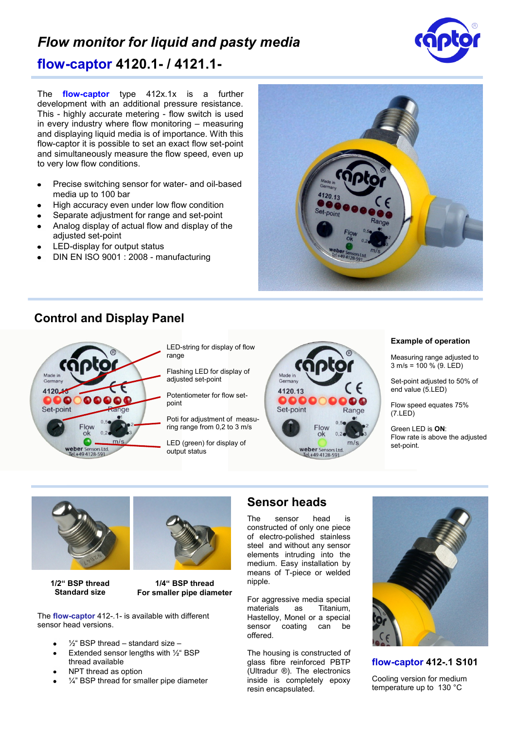## *Flow monitor for liquid and pasty media* **flow-captor 4120.1- / 4121.1-**

The **flow-captor** type 412x.1x is a further development with an additional pressure resistance. This - highly accurate metering - flow switch is used in every industry where flow monitoring – measuring and displaying liquid media is of importance. With this flow-captor it is possible to set an exact flow set-point and simultaneously measure the flow speed, even up to very low flow conditions.

- Precise switching sensor for water- and oil-based  $\bullet$ media up to 100 bar
- High accuracy even under low flow condition  $\bullet$
- Separate adjustment for range and set-point  $\bullet$
- Analog display of actual flow and display of the adjusted set-point
- LED-display for output status  $\blacksquare$
- DIN EN ISO 9001 : 2008 manufacturing

## **Control and Display Panel**



LED-string for display of flow range

Flashing LED for display of adiusted set-point

Potentiometer for flow setpoint

Poti for adjustment of measuring range from 0,2 to 3 m/s

LED (green) for display of output status



## **Example of operation**

Measuring range adjusted to  $3 \text{ m/s} = 100 \% (9. \text{LED})$ 

Set-point adjusted to 50% of end value (5.LED)

Flow speed equates 75% (7.LED)

Green LED is **ON**: Flow rate is above the adjusted set-point.



**1/2" BSP thread Standard size**



**1/4" BSP thread For smaller pipe diameter**

The **flow-captor** 412-.1- is available with different sensor head versions.

- ½" BSP thread standard size –
- Extended sensor lengths with ½" BSP thread available
- NPT thread as option
- 1/4" BSP thread for smaller pipe diameter

## **Sensor heads**

The sensor head is constructed of only one piece of electro-polished stainless steel and without any sensor elements intruding into the medium. Easy installation by means of T-piece or welded nipple.

For aggressive media special materials as Titanium, Hastelloy, Monel or a special sensor coating can be offered.

The housing is constructed of glass fibre reinforced PBTP (Ultradur ®). The electronics inside is completely epoxy resin encapsulated.



**flow-captor 412-.1 S101**

Cooling version for medium temperature up to 130 °C